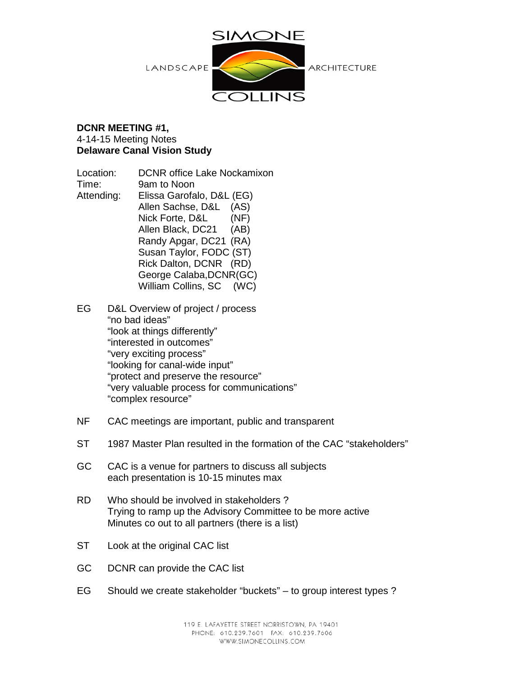

#### **DCNR MEETING #1,**  4-14-15 Meeting Notes **Delaware Canal Vision Study**

Location: DCNR office Lake Nockamixon Time: 9am to Noon Attending: Elissa Garofalo, D&L (EG) Allen Sachse, D&L (AS) Nick Forte, D&L (NF) Allen Black, DC21 (AB) Randy Apgar, DC21 (RA) Susan Taylor, FODC (ST) Rick Dalton, DCNR (RD) George Calaba,DCNR(GC) William Collins, SC (WC)

EG D&L Overview of project / process "no bad ideas" "look at things differently" "interested in outcomes" "very exciting process" "looking for canal-wide input" "protect and preserve the resource" "very valuable process for communications" "complex resource"

- NF CAC meetings are important, public and transparent
- ST 1987 Master Plan resulted in the formation of the CAC "stakeholders"
- GC CAC is a venue for partners to discuss all subjects each presentation is 10-15 minutes max
- RD Who should be involved in stakeholders ? Trying to ramp up the Advisory Committee to be more active Minutes co out to all partners (there is a list)
- ST Look at the original CAC list
- GC DCNR can provide the CAC list
- EG Should we create stakeholder "buckets" to group interest types ?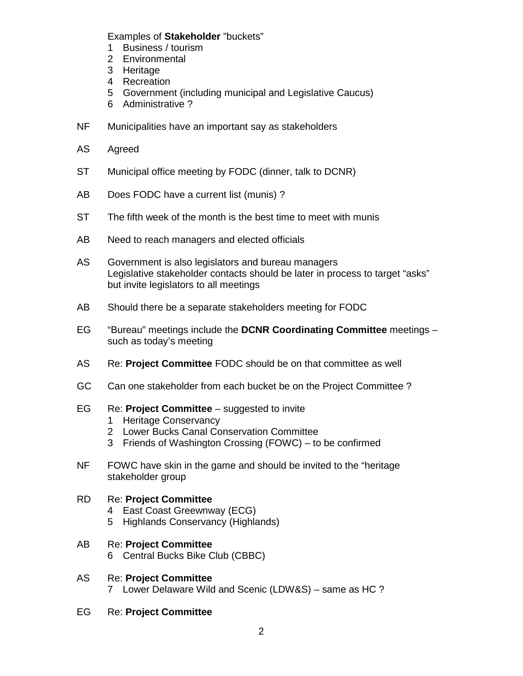Examples of **Stakeholder** "buckets"

- 1 Business / tourism
- 2 Environmental
- 3 Heritage
- 4 Recreation
- 5 Government (including municipal and Legislative Caucus)
- 6 Administrative ?
- NF Municipalities have an important say as stakeholders
- AS Agreed
- ST Municipal office meeting by FODC (dinner, talk to DCNR)
- AB Does FODC have a current list (munis)?
- ST The fifth week of the month is the best time to meet with munis
- AB Need to reach managers and elected officials
- AS Government is also legislators and bureau managers Legislative stakeholder contacts should be later in process to target "asks" but invite legislators to all meetings
- AB Should there be a separate stakeholders meeting for FODC
- EG "Bureau" meetings include the **DCNR Coordinating Committee** meetings such as today's meeting
- AS Re: **Project Committee** FODC should be on that committee as well
- GC Can one stakeholder from each bucket be on the Project Committee ?
- EG Re: **Project Committee** suggested to invite
	- 1 Heritage Conservancy
	- 2 Lower Bucks Canal Conservation Committee
	- 3 Friends of Washington Crossing (FOWC) to be confirmed
- NF FOWC have skin in the game and should be invited to the "heritage stakeholder group

# RD Re: **Project Committee**

- 4 East Coast Greewnway (ECG)
- 5 Highlands Conservancy (Highlands)
- AB Re: **Project Committee** 6 Central Bucks Bike Club (CBBC)
- AS Re: **Project Committee** 7 Lower Delaware Wild and Scenic (LDW&S) – same as HC ?
- EG Re: **Project Committee**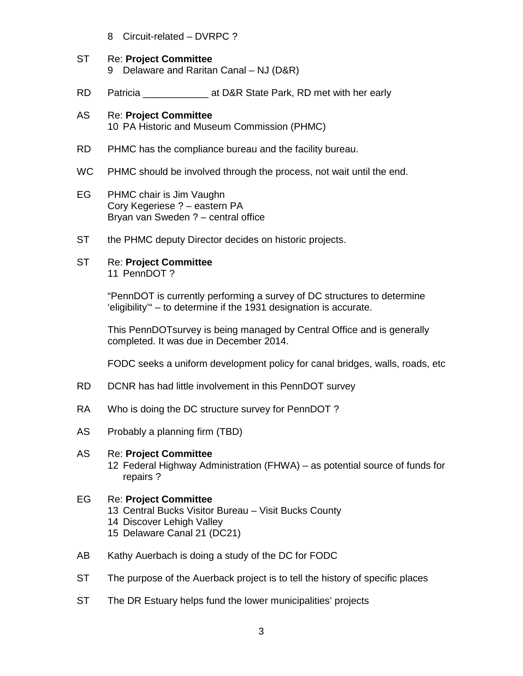- 8 Circuit-related DVRPC ?
- ST Re: **Project Committee** 9 Delaware and Raritan Canal - NJ (D&R)
- RD Patricia \_\_\_\_\_\_\_\_\_\_\_\_\_\_\_\_\_\_ at D&R State Park, RD met with her early
- AS Re: **Project Committee** 10 PA Historic and Museum Commission (PHMC)
- RD PHMC has the compliance bureau and the facility bureau.
- WC PHMC should be involved through the process, not wait until the end.
- EG PHMC chair is Jim Vaughn Cory Kegeriese ? – eastern PA Bryan van Sweden ? – central office
- ST the PHMC deputy Director decides on historic projects.
- ST Re: **Project Committee** 11 PennDOT ?

"PennDOT is currently performing a survey of DC structures to determine 'eligibility'" – to determine if the 1931 designation is accurate.

This PennDOTsurvey is being managed by Central Office and is generally completed. It was due in December 2014.

FODC seeks a uniform development policy for canal bridges, walls, roads, etc

- RD DCNR has had little involvement in this PennDOT survey
- RA Who is doing the DC structure survey for PennDOT?
- AS Probably a planning firm (TBD)

#### AS Re: **Project Committee**

12 Federal Highway Administration (FHWA) – as potential source of funds for repairs ?

### EG Re: **Project Committee**

- 13 Central Bucks Visitor Bureau Visit Bucks County
- 14 Discover Lehigh Valley
- 15 Delaware Canal 21 (DC21)
- AB Kathy Auerbach is doing a study of the DC for FODC
- ST The purpose of the Auerback project is to tell the history of specific places
- ST The DR Estuary helps fund the lower municipalities' projects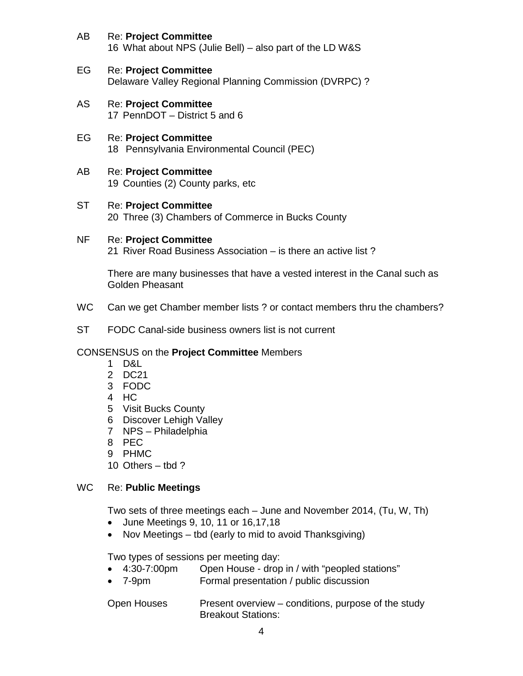- AB Re: **Project Committee** 16 What about NPS (Julie Bell) – also part of the LD W&S
- EG Re: **Project Committee** Delaware Valley Regional Planning Commission (DVRPC) ?
- AS Re: **Project Committee** 17 PennDOT – District 5 and 6
- EG Re: **Project Committee** 18 Pennsylvania Environmental Council (PEC)
- AB Re: **Project Committee** 19 Counties (2) County parks, etc
- ST Re: **Project Committee** 20 Three (3) Chambers of Commerce in Bucks County
- NF Re: **Project Committee** 21 River Road Business Association – is there an active list ?

There are many businesses that have a vested interest in the Canal such as Golden Pheasant

- WC Can we get Chamber member lists ? or contact members thru the chambers?
- ST FODC Canal-side business owners list is not current

# CONSENSUS on the **Project Committee** Members

- 1 D&L
- 2 DC21
- 3 FODC
- 4 HC
- 5 Visit Bucks County
- 6 Discover Lehigh Valley
- 7 NPS Philadelphia
- 8 PEC
- 9 PHMC
- 10 Others tbd ?

# WC Re: **Public Meetings**

Two sets of three meetings each – June and November 2014, (Tu, W, Th)

- June Meetings 9, 10, 11 or 16,17,18
- Nov Meetings tbd (early to mid to avoid Thanksgiving)

Two types of sessions per meeting day:

- 4:30-7:00pm Open House drop in / with "peopled stations"
- 7-9pm Formal presentation / public discussion

Open Houses Present overview – conditions, purpose of the study Breakout Stations: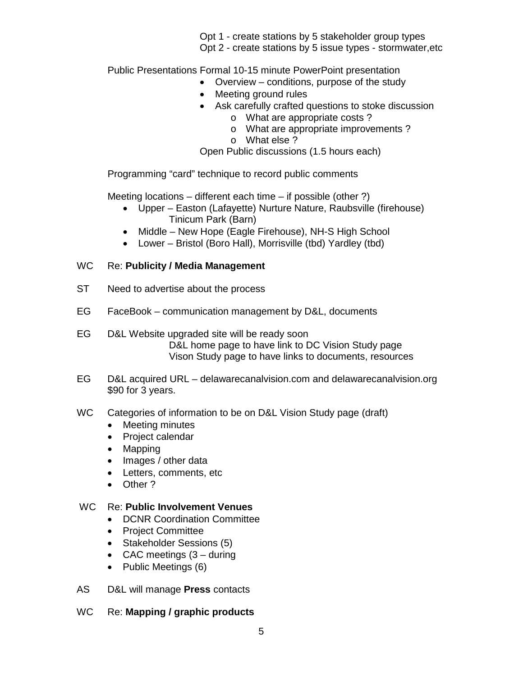Opt 1 - create stations by 5 stakeholder group types Opt 2 - create stations by 5 issue types - stormwater,etc

Public Presentations Formal 10-15 minute PowerPoint presentation

- Overview conditions, purpose of the study
- Meeting ground rules
- Ask carefully crafted questions to stoke discussion
	- o What are appropriate costs ?
	- o What are appropriate improvements ?
	- o What else ?

Open Public discussions (1.5 hours each)

Programming "card" technique to record public comments

Meeting locations – different each time – if possible (other ?)

- Upper Easton (Lafayette) Nurture Nature, Raubsville (firehouse) Tinicum Park (Barn)
- Middle New Hope (Eagle Firehouse), NH-S High School
- Lower Bristol (Boro Hall), Morrisville (tbd) Yardley (tbd)

### WC Re: **Publicity / Media Management**

- ST Need to advertise about the process
- EG FaceBook communication management by D&L, documents
- EG D&L Website upgraded site will be ready soon D&L home page to have link to DC Vision Study page Vison Study page to have links to documents, resources
- EG D&L acquired URL delawarecanalvision.com and delawarecanalvision.org \$90 for 3 years.
- WC Categories of information to be on D&L Vision Study page (draft)
	- Meeting minutes
	- Project calendar
	- Mapping
	- Images / other data
	- Letters, comments, etc
	- Other ?

### WC Re: **Public Involvement Venues**

- DCNR Coordination Committee
- Project Committee
- Stakeholder Sessions (5)
- CAC meetings (3 during
- Public Meetings (6)
- AS D&L will manage **Press** contacts
- WC Re: **Mapping / graphic products**